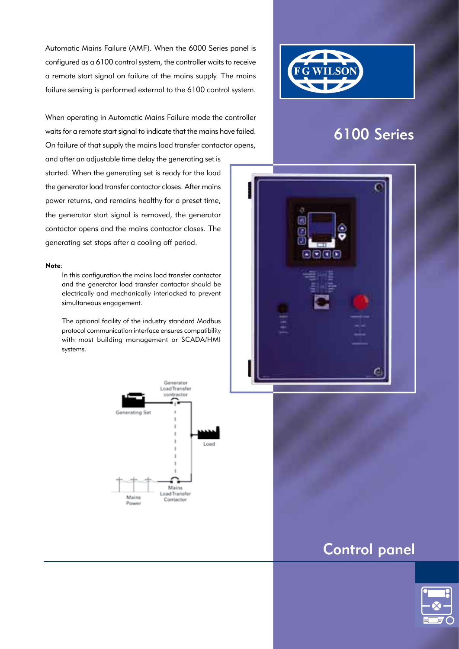Automatic Mains Failure (AMF). When the 6000 Series panel is configured as a 6100 control system, the controller waits to receive a remote start signal on failure of the mains supply. The mains failure sensing is performed external to the 6100 control system.

When operating in Automatic Mains Failure mode the controller waits for a remote start signal to indicate that the mains have failed. On failure of that supply the mains load transfer contactor opens,

and after an adjustable time delay the generating set is started. When the generating set is ready for the load the generator load transfer contactor closes. After mains power returns, and remains healthy for a preset time, the generator start signal is removed, the generator contactor opens and the mains contactor closes. The generating set stops after a cooling off period.

#### Note:

 In this configuration the mains load transfer contactor and the generator load transfer contactor should be electrically and mechanically interlocked to prevent simultaneous engagement.

The optional facility of the industry standard Modbus protocol communication interface ensures compatibility with most building management or SCADA/HMI systems.





# 6100 Series



# Control panel